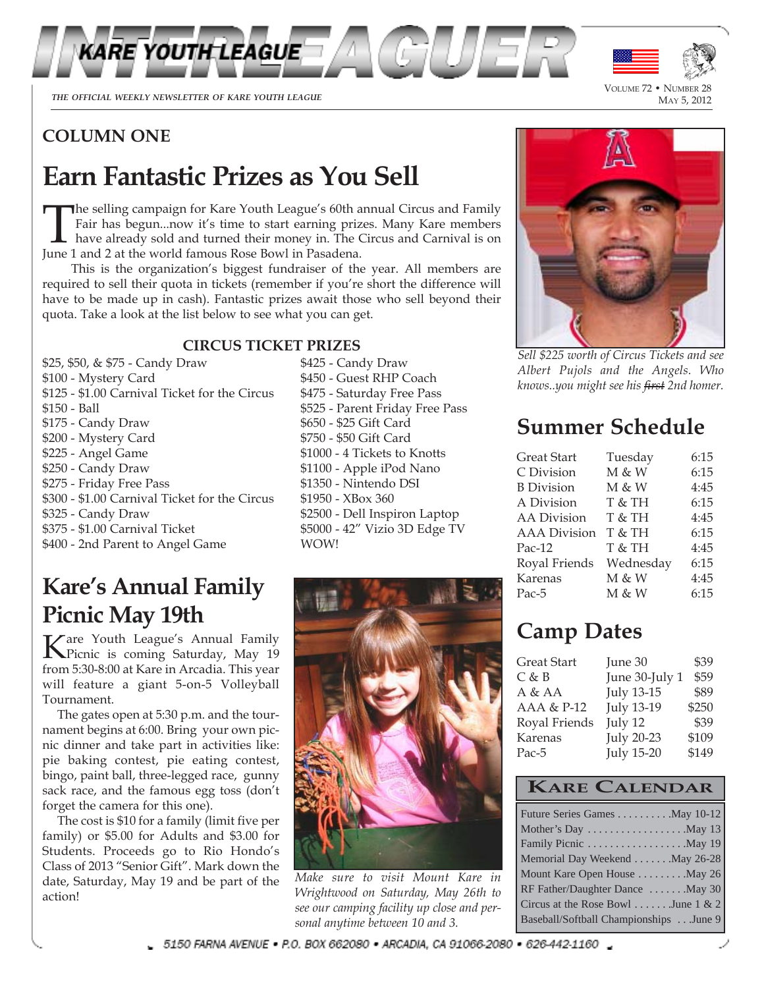

THE OFFICIAL WEEKLY NEWSLETTER OF KARE YOUTH LEAGUE

VOLUME 72 • NUMBER 28<br>MAY 5, 2012

### **COLUMN ONE**

# **Earn Fantastic Prizes as You Sell**

The selling campaign for Kare Youth League's 60th annual Circus and Family<br>Fair has begun...now it's time to start earning prizes. Many Kare members<br>have already sold and turned their money in. The Circus and Carnival is o Fair has begun...now it's time to start earning prizes. Many Kare members have already sold and turned their money in. The Circus and Carnival is on June 1 and 2 at the world famous Rose Bowl in Pasadena.

This is the organization's biggest fundraiser of the year. All members are required to sell their quota in tickets (remember if you're short the difference will have to be made up in cash). Fantastic prizes await those who sell beyond their quota. Take a look at the list below to see what you can get.

#### **CIRCUS TICKET PRIZES**

\$25, \$50, & \$75 - Candy Draw \$425 - Candy Draw \$100 - Mystery Card \$450 - Guest RHP Coach \$125 - \$1.00 Carnival Ticket for the Circus \$475 - Saturday Free Pass \$150 - Ball \$525 - Parent Friday Free Pass \$175 - Candy Draw \$650 - \$25 Gift Card \$200 - Mystery Card \$750 - \$50 Gift Card \$225 - Angel Game \$1000 - 4 Tickets to Knotts \$250 - Candy Draw \$1100 - Apple iPod Nano \$275 - Friday Free Pass \$1350 - Nintendo DSI \$300 - \$1.00 Carnival Ticket for the Circus \$1950 - XBox 360 \$325 - Candy Draw \$2500 - Dell Inspiron Laptop \$375 - \$1.00 Carnival Ticket \$5000 - 42" Vizio 3D Edge TV \$400 - 2nd Parent to Angel Game WOW!

# **Kare's Annual Family Picnic May 19th**

Kare Youth League's Annual Family Picnic is coming Saturday, May 19 from 5:30-8:00 at Kare in Arcadia. This year will feature a giant 5-on-5 Volleyball Tournament.

The gates open at 5:30 p.m. and the tournament begins at 6:00. Bring your own picnic dinner and take part in activities like: pie baking contest, pie eating contest, bingo, paint ball, three-legged race, gunny sack race, and the famous egg toss (don't forget the camera for this one).

The cost is \$10 for a family (limit five per family) or \$5.00 for Adults and \$3.00 for Students. Proceeds go to Rio Hondo's Class of 2013 "Senior Gift". Mark down the date, Saturday, May 19 and be part of the action!



*Make sure to visit Mount Kare in Wrightwood on Saturday, May 26th to see our camping facility up close and personal anytime between 10 and 3.*



*Sell \$225 worth of Circus Tickets and see Albert Pujols and the Angels. Who knows..you might see his first 2nd homer.*

## **Summer Schedule**

| <b>Great Start</b>  | Tuesday   | 6:15 |
|---------------------|-----------|------|
| C Division          | M & W     | 6:15 |
| <b>B</b> Division   | M & W     | 4:45 |
| A Division          | T & TH    | 6:15 |
| <b>AA</b> Division  | T & TH    | 4:45 |
| <b>AAA</b> Division | T & TH    | 6:15 |
| $Pac-12$            | T & TH    | 4:45 |
| Royal Friends       | Wednesday | 6:15 |
| Karenas             | M & W     | 4:45 |
| Pac-5               | M & W     | 6:15 |

## **Camp Dates**

| Great Start   | June 30           | \$39  |
|---------------|-------------------|-------|
| $C$ & $B$     | June 30-July 1    | \$59  |
| A & AA        | <b>July 13-15</b> | \$89  |
| AAA & P-12    | <b>July 13-19</b> | \$250 |
| Royal Friends | July 12           | \$39  |
| Karenas       | <b>July 20-23</b> | \$109 |
| Pac-5         | <b>July 15-20</b> | \$149 |

#### **KARE CALENDAR**

| Future Series Games May 10-12          |
|----------------------------------------|
| Mother's Day May 13                    |
| Family Picnic May 19                   |
| Memorial Day Weekend May 26-28         |
| Mount Kare Open House May 26           |
| RF Father/Daughter Dance  May 30       |
| Circus at the Rose Bowl  June 1 & 2    |
| Baseball/Softball Championships June 9 |